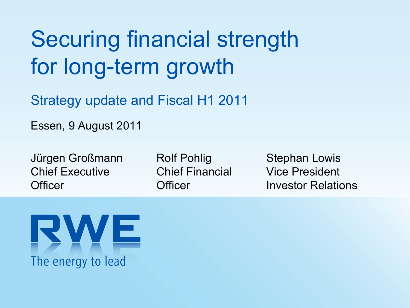# Securing financial strength for long-term growth

Strategy update and Fiscal H1 2011

Essen, 9 August 2011

Jürgen Großmann Chief Executive**Officer** 

Rolf Pohlig Chief Financial**Officer** 

Stephan Lowis Vice President Investor Relations

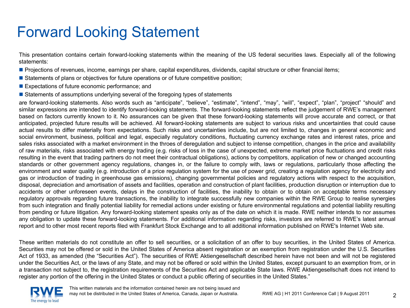### Forward Looking Statement

This presentation contains certain forward-looking statements within the meaning of the US federal securities laws. Especially all of the following statements:

- Projections of revenues, income, earnings per share, capital expenditures, dividends, capital structure or other financial items;
- **Statements of plans or objectives for future operations or of future competitive position**;
- **Expectations of future economic performance; and**
- **Statements of assumptions underlying several of the foregoing types of statements**

are forward-looking statements. Also words such as "anticipate", "believe", "estimate", "intend", "may", "will", "expect", "plan", "project" "should" and similar expressions are intended to identify forward-looking statements. The forward-looking statements reflect the judgement of RWE's management based on factors currently known to it. No assurances can be given that these forward-looking statements will prove accurate and correct, or that anticipated, projected future results will be achieved. All forward-looking statements are subject to various risks and uncertainties that could cause actual results to differ materially from expectations. Such risks and uncertainties include, but are not limited to, changes in general economic and social environment, business, political and legal, especially regulatory conditions, fluctuating currency exchange rates and interest rates, price and sales risks associated with a market environment in the throes of deregulation and subject to intense competition, changes in the price and availability of raw materials, risks associated with energy trading (e.g. risks of loss in the case of unexpected, extreme market price fluctuations and credit risks resulting in the event that trading partners do not meet their contractual obligations), actions by competitors, application of new or changed accounting standards or other government agency regulations, changes in, or the failure to comply with, laws or regulations, particularly those affecting the environment and water quality (e.g. introduction of a price regulation system for the use of power grid, creating a regulation agency for electricity and gas or introduction of trading in greenhouse gas emissions), changing governmental policies and regulatory actions with respect to the acquisition, disposal, depreciation and amortisation of assets and facilities, operation and construction of plant facilities, production disruption or interruption due to accidents or other unforeseen events, delays in the construction of facilities, the inability to obtain or to obtain on acceptable terms necessary regulatory approvals regarding future transactions, the inability to integrate successfully new companies within the RWE Group to realise synergies from such integration and finally potential liability for remedial actions under existing or future environmental regulations and potential liability resulting from pending or future litigation. Any forward-looking statement speaks only as of the date on which it is made. RWE neither intends to nor assumes any obligation to update these forward-looking statements. For additional information regarding risks, investors are referred to RWE's latest annual report and to other most recent reports filed with Frankfurt Stock Exchange and to all additional information published on RWE's Internet Web site.

These written materials do not constitute an offer to sell securities, or a solicitation of an offer to buy securities, in the United States of America. Securities may not be offered or sold in the United States of America absent registration or an exemption from registration under the U.S. Securities Act of 1933, as amended (the "Securities Act"). The securities of RWE Aktiengesellschaft described herein have not been and will not be registered under the Securities Act, or the laws of any State, and may not be offered or sold within the United States, except pursuant to an exemption from, or in a transaction not subject to, the registration requirements of the Securities Act and applicable State laws. RWE Aktiengesellschaft does not intend to register any portion of the offering in the United States or conduct a public offering of securities in the United States."

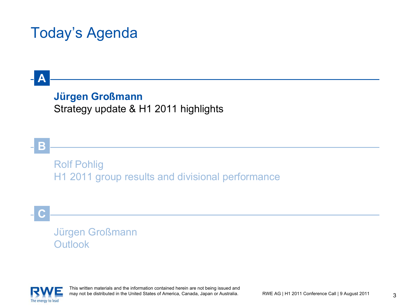### Today's Agenda

#### **Jürgen Großmann** Strategy update & H1 2011 highlights

**B**

**A**

Rolf Pohlig H1 2011 group results and divisional performance

**C**

Jürgen Großmann Outlook

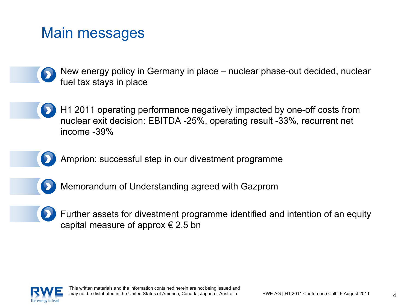### Main messages

- New energy policy in Germany in place nuclear phase-out decided, nuclear fuel tax stays in place
- H1 2011 operating performance negatively impacted by one-off costs from nuclear exit decision: EBITDA -25%, operating result -33%, recurrent net income -39%
- 
- Amprion: successful step in our divestment programme
- 
- Memorandum of Understanding agreed with Gazprom
- 
- Further assets for divestment programme identified and intention of an equity capital measure of approx  $\epsilon$  2.5 bn

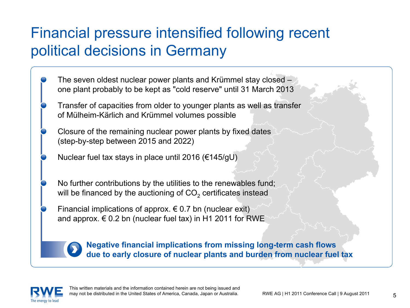### Financial pressure intensified following recent political decisions in Germany

- The seven oldest nuclear power plants and Krümmel stay closed one plant probably to be kept as "cold reserve" until 31 March 2013
- Transfer of capacities from older to younger plants as well as transfer of Mülheim-Kärlich and Krümmel volumes possible
- Closure of the remaining nuclear power plants by fixed dates (step-by-step between 2015 and 2022)
- Nuclear fuel tax stays in place until 2016 (€145/gU)
- No further contributions by the utilities to the renewables fund; will be financed by the auctioning of CO $_2$  certificates instead
- Financial implications of approx.  $\epsilon$  0.7 bn (nuclear exit) and approx.  $\epsilon$  0.2 bn (nuclear fuel tax) in H1 2011 for RWE



**Negative financial implications from missing long-term cash flows due to early closure of nuclear plants and burden from nuclear fuel tax**

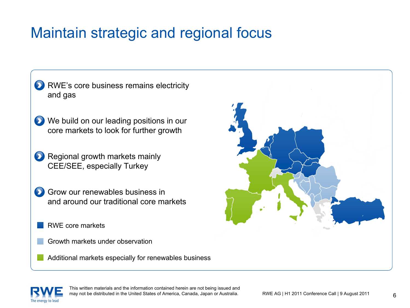### Maintain strategic and regional focus

- **D** RWE's core business remains electricity and gas
- We build on our leading positions in our core markets to look for further growth
- **Regional growth markets mainly** CEE/SEE, especially Turkey
- Grow our renewables business inand around our traditional core markets
	- RWE core markets
	- Growth markets under observation
	- Additional markets especially for renewables business



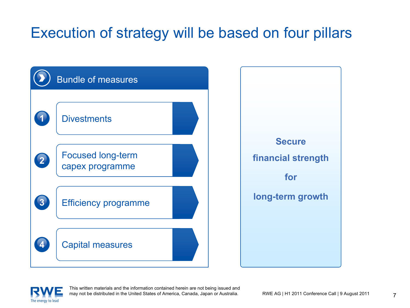## Execution of strategy will be based on four pillars



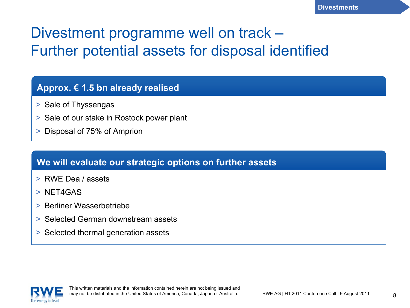### Divestment programme well on track – Further potential assets for disposal identified

#### **Approx. € 1.5 bn already realised**

- > Sale of Thyssengas
- > Sale of our stake in Rostock power plant
- > Disposal of 75% of Amprion

#### **We will evaluate our strategic options on further assets**

- > RWE Dea / assets
- > NET4GAS
- > Berliner Wasserbetriebe
- > Selected German downstream assets
- > Selected thermal generation assets

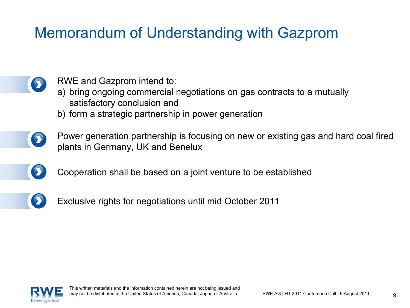### Memorandum of Understanding with Gazprom



RWE and Gazprom intend to:

- a) bring ongoing commercial negotiations on gas contracts to a mutually satisfactory conclusion and
- b) form a strategic partnership in power generation
- Power generation partnership is focusing on new or existing gas and hard coal fired plants in Germany, UK and Benelux
	- Cooperation shall be based on a joint venture to be established
- 
- Exclusive rights for negotiations until mid October 2011

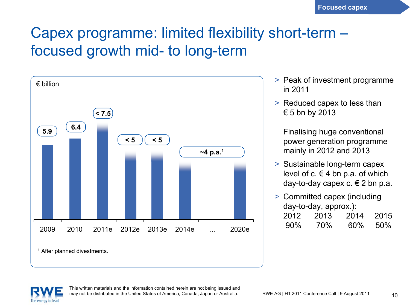### Capex programme: limited flexibility short-term – focused growth mid- to long-term



- > Peak of investment programme in 2011
- > Reduced capex to less than  $\epsilon$  5 bn by 2013

Finalising huge conventional power generation programme mainly in 2012 and 2013

- > Sustainable long-term capex level of c.  $\in$  4 bn p.a. of which day-to-day capex c.  $\in$  2 bn p.a.
- > Committed capex (including day-to-day, approx.):

| 2012   | 2013 | 2014 | 2015 |
|--------|------|------|------|
| $90\%$ | 70%  | 60%  | 50%  |

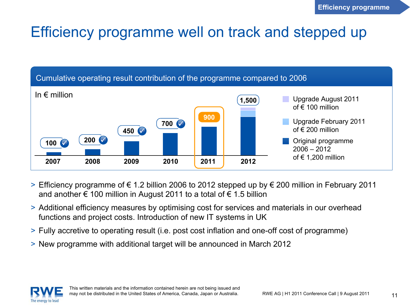#### Efficiency programme well on track and stepped up



- > Efficiency programme of € 1.2 billion 2006 to 2012 stepped up by € 200 million in February 2011 and another  $\epsilon$  100 million in August 2011 to a total of  $\epsilon$  1.5 billion
- > Additional efficiency measures by optimising cost for services and materials in our overhead functions and project costs. Introduction of new IT systems in UK
- > Fully accretive to operating result (i.e. post cost inflation and one-off cost of programme)
- > New programme with additional target will be announced in March 2012

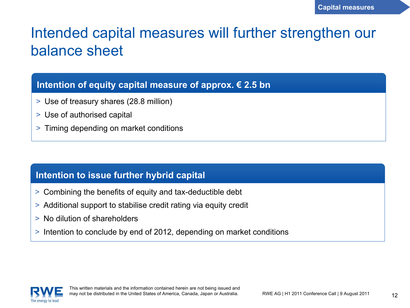### Intended capital measures will further strengthen our balance sheet

#### **Intention of equity capital measure of approx. € 2.5 bn**

- > Use of treasury shares (28.8 million)
- > Use of authorised capital
- > Timing depending on market conditions

#### **Intention to issue further hybrid capital**

- > Combining the benefits of equity and tax-deductible debt
- > Additional support to stabilise credit rating via equity credit
- > No dilution of shareholders
- > Intention to conclude by end of 2012, depending on market conditions

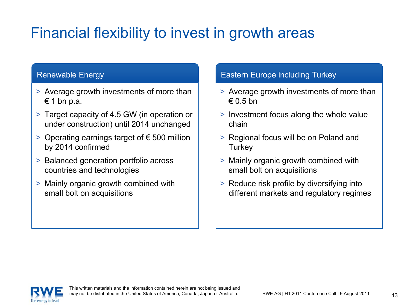### Financial flexibility to invest in growth areas

#### Renewable Energy

- > Average growth investments of more than  $\epsilon$  1 bn p.a.
- > Target capacity of 4.5 GW (in operation or under construction) until 2014 unchanged
- > Operating earnings target of € 500 million by 2014 confirmed
- > Balanced generation portfolio across countries and technologies
- > Mainly organic growth combined with small bolt on acquisitions

#### Eastern Europe including Turkey

- > Average growth investments of more than  $\in$  0.5 bn
- > Investment focus along the whole value chain
- > Regional focus will be on Poland and **Turkey**
- > Mainly organic growth combined with small bolt on acquisitions
- > Reduce risk profile by diversifying into different markets and regulatory regimes

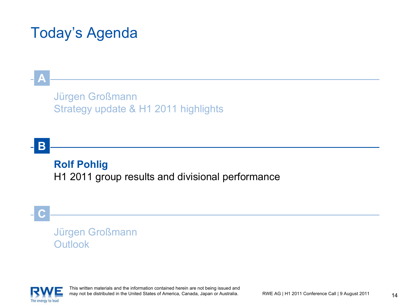### Today's Agenda

#### Jürgen Großmann Strategy update & H1 2011 highlights

#### **B**

**A**

#### **Rolf Pohlig**

H1 2011 group results and divisional performance

#### **C**

#### Jürgen Großmann Outlook

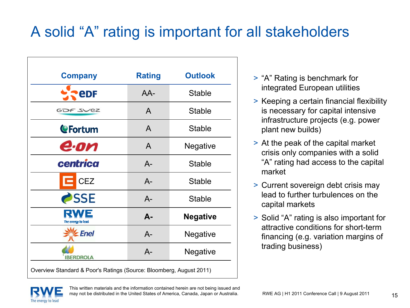### A solid "A" rating is important for all stakeholders

| <b>Company</b>           | <b>Rating</b> | <b>Outlook</b>  |
|--------------------------|---------------|-----------------|
| <b>eDF</b>               | AA-           | <b>Stable</b>   |
| GOF SVEZ                 | A             | <b>Stable</b>   |
| <b>CFortum</b>           | A             | <b>Stable</b>   |
| e·on                     | A             | <b>Negative</b> |
| centrica                 | $A-$          | <b>Stable</b>   |
| <b>CEZ</b>               | $A-$          | <b>Stable</b>   |
| SSE                      | $A -$         | <b>Stable</b>   |
| WE<br>The energy to lead | $A -$         | <b>Negative</b> |
| <b>Enel</b>              | $A -$         | <b>Negative</b> |
| <b>IBERDROLA</b>         | $A -$         | <b>Negative</b> |

- > "A" Rating is benchmark for integrated European utilities
- > Keeping a certain financial flexibility is necessary for capital intensive infrastructure projects (e.g. power plant new builds)
- > At the peak of the capital market crisis only companies with a solid "A" rating had access to the capital market
- > Current sovereign debt crisis may lead to further turbulences on the capital markets
- > Solid "A" rating is also important for attractive conditions for short-term financing (e.g. variation margins of trading business)

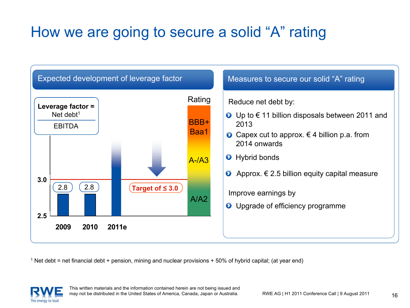### How we are going to secure a solid "A" rating



 $^1$  Net debt = net financial debt + pension, mining and nuclear provisions + 50% of hybrid capital; (at year end)

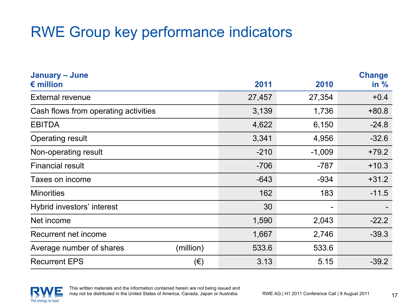## RWE Group key performance indicators

| January - June                       |              |        |          | <b>Change</b> |
|--------------------------------------|--------------|--------|----------|---------------|
| $\epsilon$ million                   |              | 2011   | 2010     | in $%$        |
| <b>External revenue</b>              |              | 27,457 | 27,354   | $+0.4$        |
| Cash flows from operating activities |              | 3,139  | 1,736    | $+80.8$       |
| <b>EBITDA</b>                        |              | 4,622  | 6,150    | $-24.8$       |
| <b>Operating result</b>              |              | 3,341  | 4,956    | $-32.6$       |
| Non-operating result                 |              | $-210$ | $-1,009$ | $+79.2$       |
| <b>Financial result</b>              |              | $-706$ | $-787$   | $+10.3$       |
| Taxes on income                      |              | $-643$ | $-934$   | $+31.2$       |
| <b>Minorities</b>                    |              | 162    | 183      | $-11.5$       |
| Hybrid investors' interest           |              | 30     |          |               |
| Net income                           |              | 1,590  | 2,043    | $-22.2$       |
| Recurrent net income                 |              | 1,667  | 2,746    | $-39.3$       |
| Average number of shares             | (million)    | 533.6  | 533.6    |               |
| <b>Recurrent EPS</b>                 | $(\epsilon)$ | 3.13   | 5.15     | $-39.2$       |

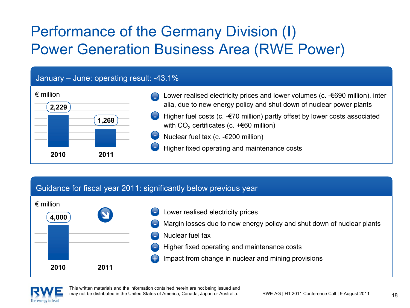## Performance of the Germany Division (I) Power Generation Business Area (RWE Power)

#### January – June: operating result: -43.1% € million**20102,229 1,268 2011**Lower realised electricity prices and lower volumes (c. -€690 million), inter alia, due to new energy policy and shut down of nuclear power plants Higher fuel costs (c. -€70 million) partly offset by lower costs associated with CO $_2$  certificates (c. +€60 million) Nuclear fuel tax (c. -€200 million) Higher fixed operating and maintenance costs -

#### Guidance for fiscal year 2011: significantly below previous year





This written materials and the information contained herein are not being issued and may not be distributed in the United States of America, Canada, Japan or Australia.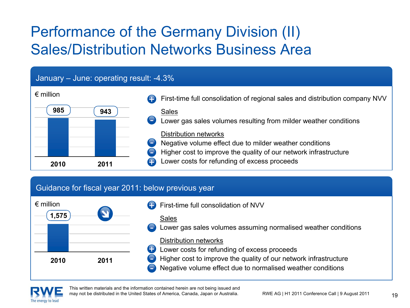## Performance of the Germany Division (II) Sales/Distribution Networks Business Area

#### January – June: operating result: -4.3%

| $\epsilon$ million |                     | First-time full consolidation of regional sales and distribution company NVV                                                                         |
|--------------------|---------------------|------------------------------------------------------------------------------------------------------------------------------------------------------|
| 985                | 943<br>-            | <b>Sales</b><br>Lower gas sales volumes resulting from milder weather conditions                                                                     |
|                    | E<br><b>Septima</b> | Distribution networks<br>Negative volume effect due to milder weather conditions<br>Higher cost to improve the quality of our network infrastructure |
| 2010               | 2011                | Lower costs for refunding of excess proceeds                                                                                                         |

#### Guidance for fiscal year 2011: below previous year



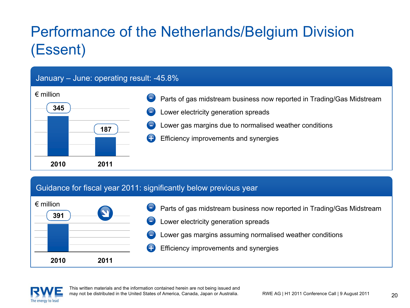## Performance of the Netherlands/Belgium Division (Essent)



#### Guidance for fiscal year 2011: significantly below previous year



- Parts of gas midstream business now reported in Trading/Gas Midstream Lower electricity generation spreads Lower gas margins assuming normalised weather conditions -
	- +Efficiency improvements and synergies

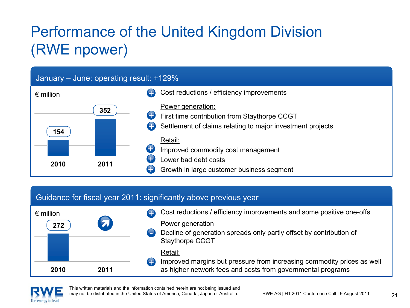## Performance of the United Kingdom Division (RWE npower)

#### January – June: operating result: +129% € million**20101543522011**Cost reductions / efficiency improvements Power generation: First time contribution from Staythorpe CCGT Settlement of claims relating to major investment projects Retail:Improved commodity cost management Lower bad debt costsGrowth in large customer business segment ++++++

#### Guidance for fiscal year 2011: significantly above previous year



- Cost reductions / efficiency improvements and some positive one-offs Power generation +
- Decline of generation spreads only partly offset by contribution of Staythorpe CCGT

#### Retail:

Improved margins but pressure from increasing commodity prices as well as higher network fees and costs from governmental programs

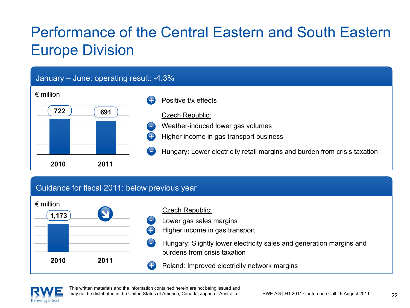## Performance of the Central Eastern and South Eastern Europe Division



#### Guidance for fiscal 2011: below previous year





This written materials and the information contained herein are not being issued and may not be distributed in the United States of America, Canada, Japan or Australia.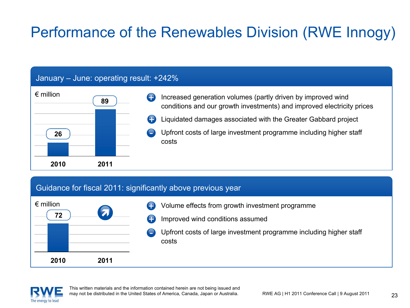## Performance of the Renewables Division (RWE Innogy)

#### January – June: operating result: +242%



#### Guidance for fiscal 2011: significantly above previous year



- Volume effects from growth investment programme Improved wind conditions assumed +
- +
- Upfront costs of large investment programme including higher staff costs-

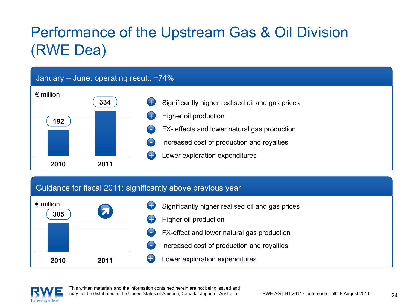## Performance of the Upstream Gas & Oil Division (RWE Dea)



#### Guidance for fiscal 2011: significantly above previous year



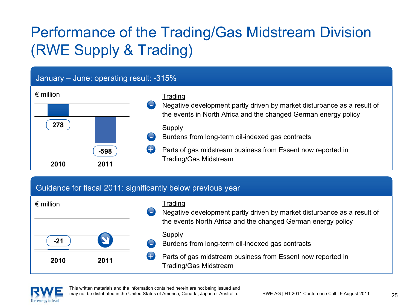## Performance of the Trading/Gas Midstream Division (RWE Supply & Trading)

#### January – June: operating result: -315%

| $\epsilon$ million |        | Trading                                                                                                                                    |
|--------------------|--------|--------------------------------------------------------------------------------------------------------------------------------------------|
|                    |        | Negative development partly driven by market disturbance as a result of<br>the events in North Africa and the changed German energy policy |
| 278                |        | Supply<br>Burdens from long-term oil-indexed gas contracts                                                                                 |
|                    | $-598$ | Parts of gas midstream business from Essent now reported in                                                                                |
| 2010               | 2011   | <b>Trading/Gas Midstream</b>                                                                                                               |

#### Guidance for fiscal 2011: significantly below previous year

| $\epsilon$ million |      | ÷           | Trading<br>Negative development partly driven by market disturbance as a result of<br>the events North Africa and the changed German energy policy |
|--------------------|------|-------------|----------------------------------------------------------------------------------------------------------------------------------------------------|
| $-21$              |      | <b>Andr</b> | Supply<br>Burdens from long-term oil-indexed gas contracts                                                                                         |
| 2010               | 2011 |             | Parts of gas midstream business from Essent now reported in<br><b>Trading/Gas Midstream</b>                                                        |

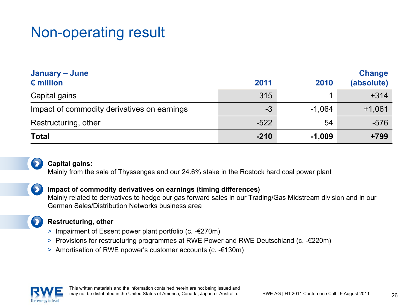### Non-operating result

| January – June<br>$\epsilon$ million        | 2011   | 2010     | <b>Change</b><br>(absolute) |
|---------------------------------------------|--------|----------|-----------------------------|
| Capital gains                               | 315    |          | $+314$                      |
| Impact of commodity derivatives on earnings | -3     | $-1,064$ | $+1,061$                    |
| Restructuring, other                        | $-522$ | 54       | $-576$                      |
| <b>Total</b>                                | $-210$ | $-1,009$ | $+799$                      |



#### **Capital gains:**

Mainly from the sale of Thyssengas and our 24.6% stake in the Rostock hard coal power plant

#### **Impact of commodity derivatives on earnings (timing differences)**

Mainly related to derivatives to hedge our gas forward sales in our Trading/Gas Midstream division and in our German Sales/Distribution Networks business area

#### **Restructuring, other**

- > Impairment of Essent power plant portfolio (c. -€270m)
- > Provisions for restructuring programmes at RWE Power and RWE Deutschland (c. -€220m)
- > Amortisation of RWE npower's customer accounts (c. -€130m)

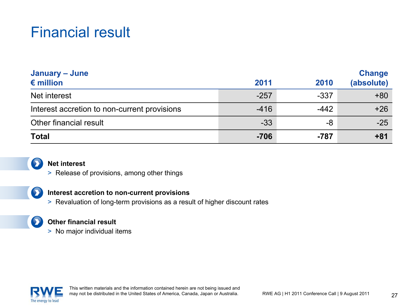### Financial result

| January - June                               |        |        | <b>Change</b> |
|----------------------------------------------|--------|--------|---------------|
| $\epsilon$ million                           | 2011   | 2010   | (absolute)    |
| Net interest                                 | $-257$ | $-337$ | $+80$         |
| Interest accretion to non-current provisions | $-416$ | $-442$ | $+26$         |
| Other financial result                       | $-33$  | -8     | $-25$         |
| <b>Total</b>                                 | $-706$ | $-787$ | $+81$         |



#### **Net interest**

> Release of provisions, among other things

#### $\bullet$

#### **Interest accretion to non-current provisions**

> Revaluation of long-term provisions as a result of higher discount rates

#### $\bullet$

#### **Other financial result**

> No major individual items

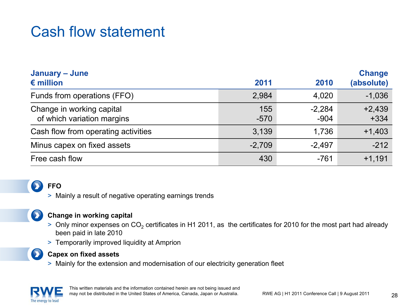### Cash flow statement

| January - June                                          |               |                    | <b>Change</b>      |
|---------------------------------------------------------|---------------|--------------------|--------------------|
| $\epsilon$ million                                      | 2011          | 2010               | (absolute)         |
| Funds from operations (FFO)                             | 2,984         | 4,020              | $-1,036$           |
| Change in working capital<br>of which variation margins | 155<br>$-570$ | $-2,284$<br>$-904$ | $+2,439$<br>$+334$ |
| Cash flow from operating activities                     | 3,139         | 1,736              | $+1,403$           |
| Minus capex on fixed assets                             | $-2,709$      | $-2,497$           | $-212$             |
| Free cash flow                                          | 430           | $-761$             | $+1,191$           |

#### **FFO**

> Mainly a result of negative operating earnings trends

#### $\blacktriangleright$

#### **Change in working capital**

- > Only minor expenses on CO<sub>2</sub> certificates in H1 2011, as the certificates for 2010 for the most part had already been paid in late 2010
- > Temporarily improved liquidity at Amprion



#### **Capex on fixed assets**

> Mainly for the extension and modernisation of our electricity generation fleet

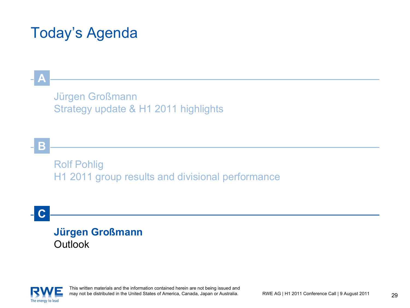### Today's Agenda

#### Jürgen Großmann Strategy update & H1 2011 highlights

**B**

**A**

Rolf Pohlig H1 2011 group results and divisional performance

**C**

#### **Jürgen Großmann Outlook**

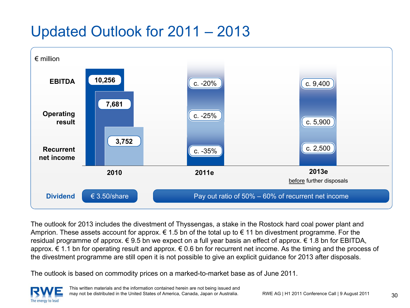### Updated Outlook for 2011 – 2013



The outlook for 2013 includes the divestment of Thyssengas, a stake in the Rostock hard coal power plant and Amprion. These assets account for approx.  $\epsilon$  1.5 bn of the total up to  $\epsilon$  11 bn divestment programme. For the residual programme of approx. € 9.5 bn we expect on a full year basis an effect of approx. € 1.8 bn for EBITDA, approx. € 1.1 bn for operating result and approx. € 0.6 bn for recurrent net income. As the timing and the process of the divestment programme are still open it is not possible to give an explicit guidance for 2013 after disposals.

The outlook is based on commodity prices on a marked-to-market base as of June 2011.

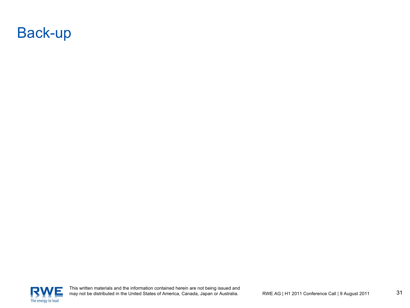

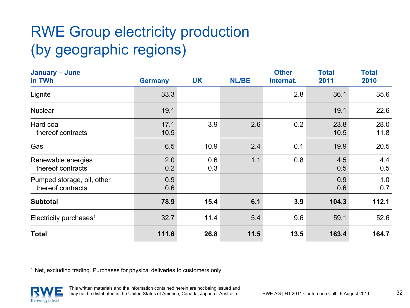## RWE Group electricity production (by geographic regions)

| January - June<br>in TWh                        | <b>Germany</b> | <b>UK</b>  | <b>NL/BE</b> | <b>Other</b><br>Internat. | <b>Total</b><br>2011 | <b>Total</b><br>2010 |
|-------------------------------------------------|----------------|------------|--------------|---------------------------|----------------------|----------------------|
| Lignite                                         | 33.3           |            |              | 2.8                       | 36.1                 | 35.6                 |
| <b>Nuclear</b>                                  | 19.1           |            |              |                           | 19.1                 | 22.6                 |
| Hard coal<br>thereof contracts                  | 17.1<br>10.5   | 3.9        | 2.6          | 0.2                       | 23.8<br>10.5         | 28.0<br>11.8         |
| Gas                                             | 6.5            | 10.9       | 2.4          | 0.1                       | 19.9                 | 20.5                 |
| Renewable energies<br>thereof contracts         | 2.0<br>0.2     | 0.6<br>0.3 | 1.1          | 0.8                       | 4.5<br>0.5           | 4.4<br>0.5           |
| Pumped storage, oil, other<br>thereof contracts | 0.9<br>0.6     |            |              |                           | 0.9<br>0.6           | 1.0<br>0.7           |
| <b>Subtotal</b>                                 | 78.9           | 15.4       | 6.1          | 3.9                       | 104.3                | 112.1                |
| Electricity purchases <sup>1</sup>              | 32.7           | 11.4       | 5.4          | 9.6                       | 59.1                 | 52.6                 |
| <b>Total</b>                                    | 111.6          | 26.8       | 11.5         | 13.5                      | 163.4                | 164.7                |

<sup>1</sup> Net, excluding trading. Purchases for physical deliveries to customers only

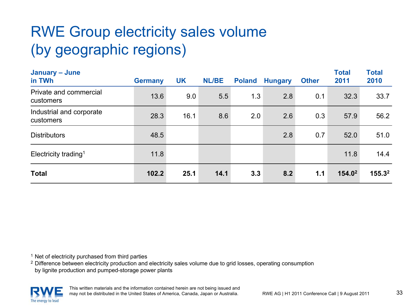## RWE Group electricity sales volume (by geographic regions)

| January - June<br>in TWh              | <b>Germany</b> | <b>UK</b> | <b>NL/BE</b> | <b>Poland</b> | <b>Hungary</b> | <b>Other</b> | <b>Total</b><br>2011 | <b>Total</b><br>2010 |
|---------------------------------------|----------------|-----------|--------------|---------------|----------------|--------------|----------------------|----------------------|
| Private and commercial<br>customers   | 13.6           | 9.0       | 5.5          | 1.3           | 2.8            | 0.1          | 32.3                 | 33.7                 |
| Industrial and corporate<br>customers | 28.3           | 16.1      | 8.6          | 2.0           | 2.6            | 0.3          | 57.9                 | 56.2                 |
| <b>Distributors</b>                   | 48.5           |           |              |               | 2.8            | 0.7          | 52.0                 | 51.0                 |
| Electricity trading <sup>1</sup>      | 11.8           |           |              |               |                |              | 11.8                 | 14.4                 |
| <b>Total</b>                          | 102.2          | 25.1      | 14.1         | 3.3           | 8.2            | 1.1          | 154.0 <sup>2</sup>   | $155.3^2$            |

<sup>1</sup> Net of electricity purchased from third parties

 $2$  Difference between electricity production and electricity sales volume due to grid losses, operating consumption by lignite production and pumped-storage power plants

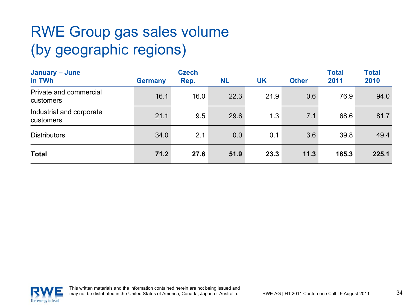## RWE Group gas sales volume (by geographic regions)

| January - June<br>in TWh              | <b>Germany</b> | <b>Czech</b><br>Rep. | <b>NL</b> | UK   | <b>Other</b> | <b>Total</b><br>2011 | <b>Total</b><br>2010 |
|---------------------------------------|----------------|----------------------|-----------|------|--------------|----------------------|----------------------|
| Private and commercial<br>customers   | 16.1           | 16.0                 | 22.3      | 21.9 | 0.6          | 76.9                 | 94.0                 |
| Industrial and corporate<br>customers | 21.1           | 9.5                  | 29.6      | 1.3  | 7.1          | 68.6                 | 81.7                 |
| <b>Distributors</b>                   | 34.0           | 2.1                  | 0.0       | 0.1  | 3.6          | 39.8                 | 49.4                 |
| <b>Total</b>                          | 71.2           | 27.6                 | 51.9      | 23.3 | 11.3         | 185.3                | 225.1                |

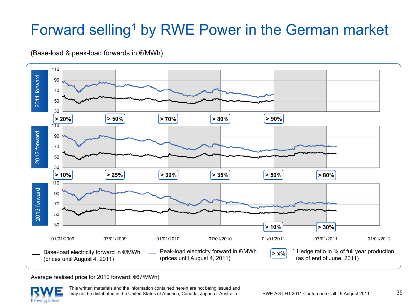## Forward selling<sup>1</sup> by RWE Power in the German market





Average realised price for 2010 forward: €67/MWh)

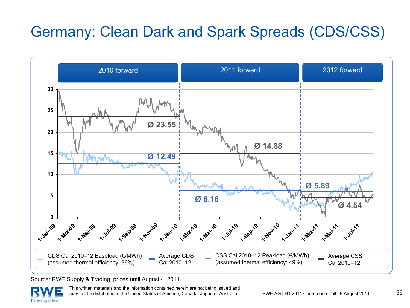## Germany: Clean Dark and Spark Spreads (CDS/CSS)



Source: RWE Supply & Trading, prices until August 4, 2011

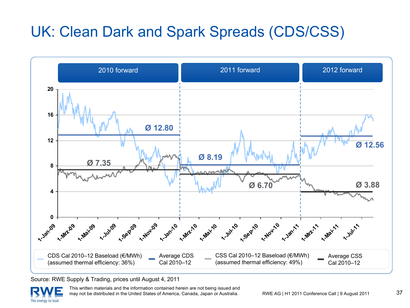## UK: Clean Dark and Spark Spreads (CDS/CSS)



Source: RWE Supply & Trading, prices until August 4, 2011

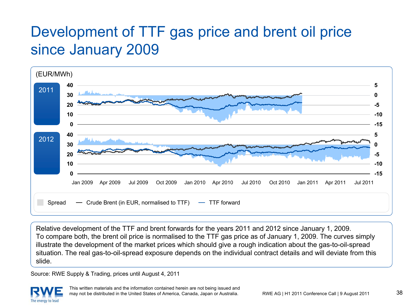### Development of TTF gas price and brent oil price since January 2009



Relative development of the TTF and brent forwards for the years 2011 and 2012 since January 1, 2009. To compare both, the brent oil price is normalised to the TTF gas price as of January 1, 2009. The curves simply illustrate the development of the market prices which should give a rough indication about the gas-to-oil-spread situation. The real gas-to-oil-spread exposure depends on the individual contract details and will deviate from this slide.

Source: RWE Supply & Trading, prices until August 4, 2011

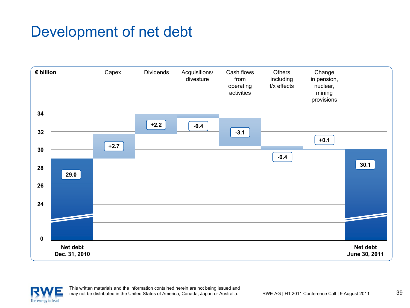### Development of net debt



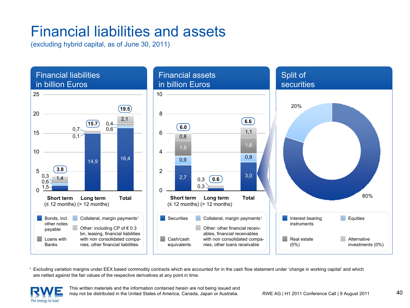### Financial liabilities and assets

(excluding hybrid capital, as of June 30, 2011)



1 Excluding variation margins under EEX based commodity contracts which are accounted for in the cash flow statement under 'change in working capital' and which are netted against the fair values of the respective derivatives at any point in time.

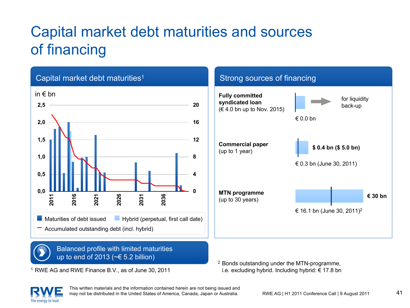## Capital market debt maturities and sources of financing



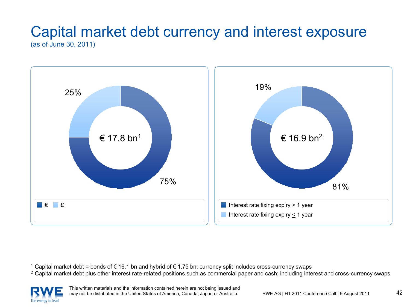#### Capital market debt currency and interest exposure (as of June 30, 2011)



 $^1$  Capital market debt = bonds of € 16.1 bn and hybrid of € 1.75 bn; currency split includes cross-currency swaps

<sup>2</sup> Capital market debt plus other interest rate-related positions such as commercial paper and cash; including interest and cross-currency swaps

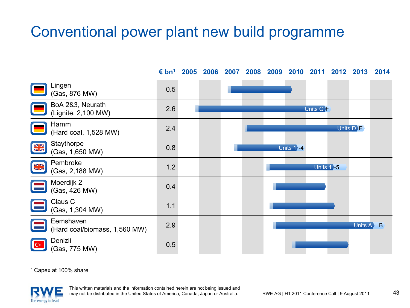### Conventional power plant new build programme

**€ bn<sup>1</sup> 2005**

Lingen Enigen<br>(Gas, 876 MW) 0.5 BoA 2&3, Neurath (Lignite, 2,100 MW) 2.6 Units G **F** Hamm (Hard coal, 1,528 MW) 2.4 Units D **I**E **Staythorpe NK**  $(Gas, 1,650 \text{ MW})$  0.8 Units 1**>** 4 Pembroke **NK** Permittive<br>(Gas, 2,188 MW) 1.2 Units 1 **-5** Moerdijk 2  $(Cas, 426 \text{ MW})$  0.4 Claus C  $\frac{3}{1.1}$  (Gas, 1,304 MW) 1.1 Eemshaven(Hard coal/biomass, 1,560 MW) 2.9 Units A  $\blacktriangleright$  B Denizli $C^*$  $\frac{1}{\sqrt{1-\frac{1}{\sqrt{1-\frac{1}{\sqrt{1-\frac{1}{\sqrt{1-\frac{1}{\sqrt{1-\frac{1}{\sqrt{1-\frac{1}{\sqrt{1-\frac{1}{\sqrt{1-\frac{1}{\sqrt{1-\frac{1}{\sqrt{1-\frac{1}{\sqrt{1-\frac{1}{\sqrt{1-\frac{1}{\sqrt{1-\frac{1}{\sqrt{1-\frac{1}{\sqrt{1-\frac{1}{\sqrt{1-\frac{1}{\sqrt{1-\frac{1}{\sqrt{1-\frac{1}{\sqrt{1-\frac{1}{\sqrt{1-\frac{1}{\sqrt{1-\frac{1}{\sqrt{1-\frac{1}{\sqrt{1-\frac{1}{\sqrt{1-\frac{1$ 

1 Capex at 100% share



**2006 2007 2008 2009 2010 2011 2012 2013 2014**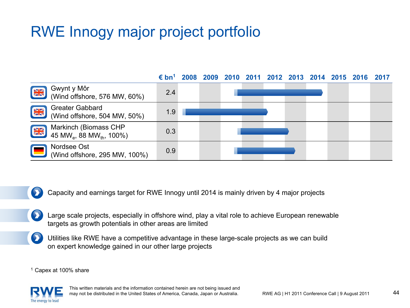## RWE Innogy major project portfolio



 $\bullet$ Capacity and earnings target for RWE Innogy until 2014 is mainly driven by 4 major projects

- Large scale projects, especially in offshore wind, play a vital role to achieve European renewable targets as growth potentials in other areas are limited
- Utilities like RWE have a competitive advantage in these large-scale projects as we can build on expert knowledge gained in our other large projects

1 Capex at 100% share

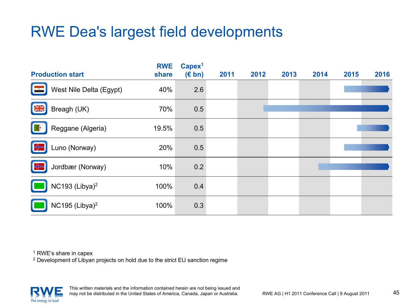### RWE Dea's largest field developments

| <b>Production start</b>                    | <b>RWE</b><br>share | Capex <sup>1</sup><br>$(E \, bn)$ | 2011 | 2012 | 2013 | 2014 | 2015 | 2016 |
|--------------------------------------------|---------------------|-----------------------------------|------|------|------|------|------|------|
| West Nile Delta (Egypt)<br>$\sim$ $\alpha$ | 40%                 | 2.6                               |      |      |      |      |      |      |
| $\frac{N}{2K}$<br>Breagh (UK)              | 70%                 | 0.5                               |      |      |      |      |      |      |
| Reggane (Algeria)                          | 19.5%               | 0.5                               |      |      |      |      |      |      |
| H<br>Luno (Norway)                         | 20%                 | 0.5                               |      |      |      |      |      |      |
| ╬<br>Jordbær (Norway)                      | 10%                 | 0.2                               |      |      |      |      |      |      |
| NC193 (Libya) <sup>2</sup>                 | 100%                | 0.4                               |      |      |      |      |      |      |
| NC195 (Libya) $^2$                         | 100%                | 0.3                               |      |      |      |      |      |      |

1 RWE's share in capex

<sup>2</sup> Development of Libyan projects on hold due to the strict EU sanction regime